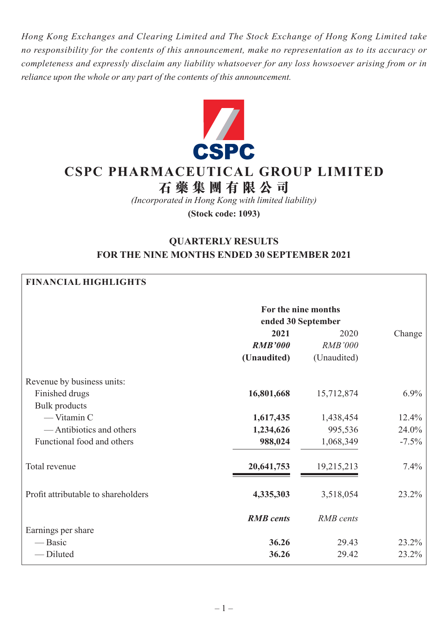*Hong Kong Exchanges and Clearing Limited and The Stock Exchange of Hong Kong Limited take no responsibility for the contents of this announcement, make no representation as to its accuracy or completeness and expressly disclaim any liability whatsoever for any loss howsoever arising from or in reliance upon the whole or any part of the contents of this announcement.*



# **CSPC PHARMACEUTICAL GROUP LIMITED**

# **石藥集團 有 限公司**

*(Incorporated in Hong Kong with limited liability)*

**(Stock code: 1093)**

# **QUARTERLY RESULTS FOR THE NINE MONTHS ENDED 30 SEPTEMBER 2021**

#### **FINANCIAL HIGHLIGHTS**

|                                     | For the nine months |                  |         |
|-------------------------------------|---------------------|------------------|---------|
|                                     | ended 30 September  |                  |         |
|                                     | 2021                | 2020             | Change  |
|                                     | <b>RMB'000</b>      | <b>RMB'000</b>   |         |
|                                     | (Unaudited)         | (Unaudited)      |         |
| Revenue by business units:          |                     |                  |         |
| Finished drugs                      | 16,801,668          | 15,712,874       | $6.9\%$ |
| <b>Bulk</b> products                |                     |                  |         |
| $-$ Vitamin C                       | 1,617,435           | 1,438,454        | 12.4%   |
| — Antibiotics and others            | 1,234,626           | 995,536          | 24.0%   |
| Functional food and others          | 988,024             | 1,068,349        | $-7.5%$ |
| Total revenue                       | 20,641,753          | 19,215,213       | $7.4\%$ |
| Profit attributable to shareholders | 4,335,303           | 3,518,054        | 23.2%   |
|                                     | <b>RMB</b> cents    | <b>RMB</b> cents |         |
| Earnings per share                  |                     |                  |         |
| — Basic                             | 36.26               | 29.43            | 23.2%   |
| -Diluted                            | 36.26               | 29.42            | 23.2%   |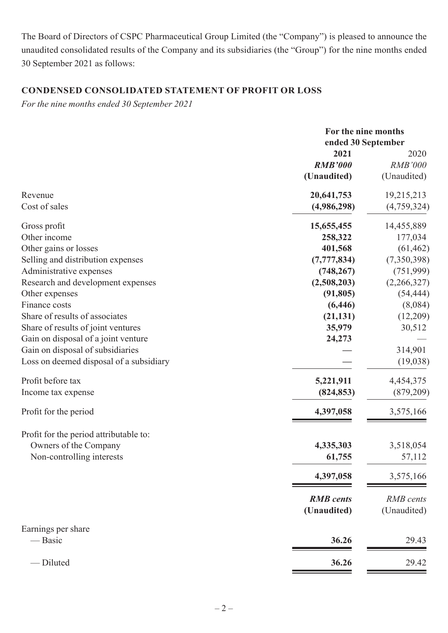The Board of Directors of CSPC Pharmaceutical Group Limited (the "Company") is pleased to announce the unaudited consolidated results of the Company and its subsidiaries (the "Group") for the nine months ended 30 September 2021 as follows:

# **CONDENSED CONSOLIDATED STATEMENT OF PROFIT OR LOSS**

*For the nine months ended 30 September 2021*

|                                         | For the nine months<br>ended 30 September |                |  |
|-----------------------------------------|-------------------------------------------|----------------|--|
|                                         | 2021                                      | 2020           |  |
|                                         | <b>RMB'000</b>                            | <b>RMB'000</b> |  |
|                                         | (Unaudited)                               | (Unaudited)    |  |
| Revenue                                 | 20,641,753                                | 19,215,213     |  |
| Cost of sales                           | (4,986,298)                               | (4,759,324)    |  |
| Gross profit                            | 15,655,455                                | 14,455,889     |  |
| Other income                            | 258,322                                   | 177,034        |  |
| Other gains or losses                   | 401,568                                   | (61, 462)      |  |
| Selling and distribution expenses       | (7, 777, 834)                             | (7,350,398)    |  |
| Administrative expenses                 | (748, 267)                                | (751, 999)     |  |
| Research and development expenses       | (2,508,203)                               | (2,266,327)    |  |
| Other expenses                          | (91, 805)                                 | (54, 444)      |  |
| Finance costs                           | (6, 446)                                  | (8,084)        |  |
| Share of results of associates          | (21, 131)                                 | (12,209)       |  |
| Share of results of joint ventures      | 35,979                                    | 30,512         |  |
| Gain on disposal of a joint venture     | 24,273                                    |                |  |
| Gain on disposal of subsidiaries        |                                           | 314,901        |  |
| Loss on deemed disposal of a subsidiary |                                           | (19, 038)      |  |
| Profit before tax                       | 5,221,911                                 | 4,454,375      |  |
| Income tax expense                      | (824, 853)                                | (879, 209)     |  |
| Profit for the period                   | 4,397,058                                 | 3,575,166      |  |
| Profit for the period attributable to:  |                                           |                |  |
| Owners of the Company                   | 4,335,303                                 | 3,518,054      |  |
| Non-controlling interests               | 61,755                                    | 57,112         |  |
|                                         | 4,397,058                                 | 3,575,166      |  |
|                                         | <b>RMB</b> cents                          | RMB cents      |  |
|                                         | (Unaudited)                               | (Unaudited)    |  |
| Earnings per share<br>— Basic           | 36.26                                     | 29.43          |  |
|                                         |                                           |                |  |
| - Diluted                               | 36.26                                     | 29.42          |  |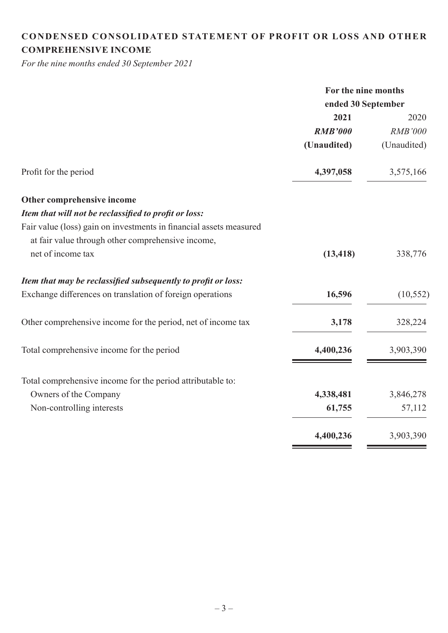# **CONDENSED CONSOLIDATED STATEMENT OF PROFIT OR LOSS AND OTHER COMPREHENSIVE INCOME**

*For the nine months ended 30 September 2021*

| For the nine months |                |  |
|---------------------|----------------|--|
| ended 30 September  |                |  |
| 2021                | 2020           |  |
| <b>RMB'000</b>      | <b>RMB'000</b> |  |
| (Unaudited)         | (Unaudited)    |  |
| 4,397,058           | 3,575,166      |  |
|                     |                |  |
|                     |                |  |
|                     |                |  |
|                     |                |  |
| (13, 418)           | 338,776        |  |
|                     |                |  |
| 16,596              | (10, 552)      |  |
| 3,178               | 328,224        |  |
| 4,400,236           | 3,903,390      |  |
|                     |                |  |
| 4,338,481           | 3,846,278      |  |
| 61,755              | 57,112         |  |
| 4,400,236           | 3,903,390      |  |
|                     |                |  |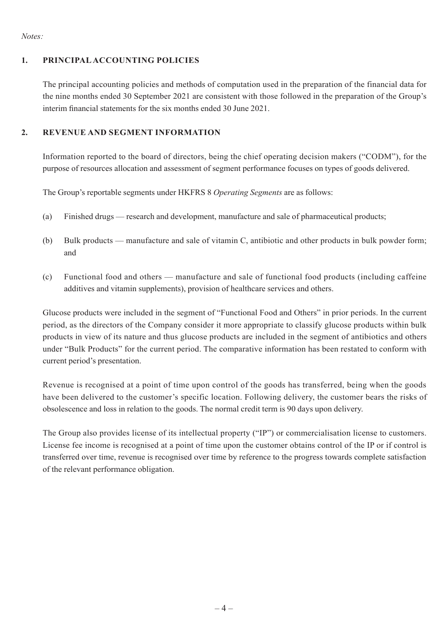#### *Notes:*

#### **1. PRINCIPAL ACCOUNTING POLICIES**

The principal accounting policies and methods of computation used in the preparation of the financial data for the nine months ended 30 September 2021 are consistent with those followed in the preparation of the Group's interim financial statements for the six months ended 30 June 2021.

### **2. REVENUE AND SEGMENT INFORMATION**

Information reported to the board of directors, being the chief operating decision makers ("CODM"), for the purpose of resources allocation and assessment of segment performance focuses on types of goods delivered.

The Group's reportable segments under HKFRS 8 *Operating Segments* are as follows:

- (a) Finished drugs research and development, manufacture and sale of pharmaceutical products;
- (b) Bulk products manufacture and sale of vitamin C, antibiotic and other products in bulk powder form; and
- (c) Functional food and others manufacture and sale of functional food products (including caffeine additives and vitamin supplements), provision of healthcare services and others.

Glucose products were included in the segment of "Functional Food and Others" in prior periods. In the current period, as the directors of the Company consider it more appropriate to classify glucose products within bulk products in view of its nature and thus glucose products are included in the segment of antibiotics and others under "Bulk Products" for the current period. The comparative information has been restated to conform with current period's presentation.

Revenue is recognised at a point of time upon control of the goods has transferred, being when the goods have been delivered to the customer's specific location. Following delivery, the customer bears the risks of obsolescence and loss in relation to the goods. The normal credit term is 90 days upon delivery.

The Group also provides license of its intellectual property ("IP") or commercialisation license to customers. License fee income is recognised at a point of time upon the customer obtains control of the IP or if control is transferred over time, revenue is recognised over time by reference to the progress towards complete satisfaction of the relevant performance obligation.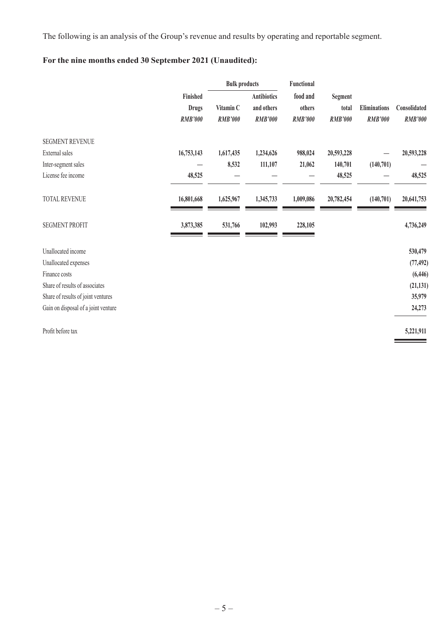The following is an analysis of the Group's revenue and results by operating and reportable segment.

# **For the nine months ended 30 September 2021 (Unaudited):**

|                                     |                                            |                             | <b>Bulk products</b>                               | Functional                           |                                    |                                       |                                |
|-------------------------------------|--------------------------------------------|-----------------------------|----------------------------------------------------|--------------------------------------|------------------------------------|---------------------------------------|--------------------------------|
|                                     | Finished<br><b>Drugs</b><br><b>RMB'000</b> | Vitamin C<br><b>RMB'000</b> | <b>Antibiotics</b><br>and others<br><b>RMB'000</b> | food and<br>others<br><b>RMB'000</b> | Segment<br>total<br><b>RMB'000</b> | <b>Eliminations</b><br><b>RMB'000</b> | Consolidated<br><b>RMB'000</b> |
| <b>SEGMENT REVENUE</b>              |                                            |                             |                                                    |                                      |                                    |                                       |                                |
| External sales                      | 16,753,143                                 | 1,617,435                   | 1,234,626                                          | 988,024                              | 20,593,228                         |                                       | 20,593,228                     |
| Inter-segment sales                 |                                            | 8,532                       | 111,107                                            | 21,062                               | 140,701                            | (140,701)                             |                                |
| License fee income                  | 48,525                                     |                             |                                                    |                                      | 48,525                             |                                       | 48,525                         |
| TOTAL REVENUE                       | 16,801,668                                 | 1,625,967                   | 1,345,733                                          | 1,009,086                            | 20,782,454                         | (140, 701)                            | 20,641,753                     |
| <b>SEGMENT PROFIT</b>               | 3,873,385                                  | 531,766                     | 102,993                                            | 228,105                              |                                    |                                       | 4,736,249                      |
| Unallocated income                  |                                            |                             |                                                    |                                      |                                    |                                       | 530,479                        |
| Unallocated expenses                |                                            |                             |                                                    |                                      |                                    |                                       | (77, 492)                      |
| Finance costs                       |                                            |                             |                                                    |                                      |                                    |                                       | (6, 446)                       |
| Share of results of associates      |                                            |                             |                                                    |                                      |                                    |                                       | (21, 131)                      |
| Share of results of joint ventures  |                                            |                             |                                                    |                                      |                                    |                                       | 35,979                         |
| Gain on disposal of a joint venture |                                            |                             |                                                    |                                      |                                    |                                       | 24,273                         |
| Profit before tax                   |                                            |                             |                                                    |                                      |                                    |                                       | 5,221,911                      |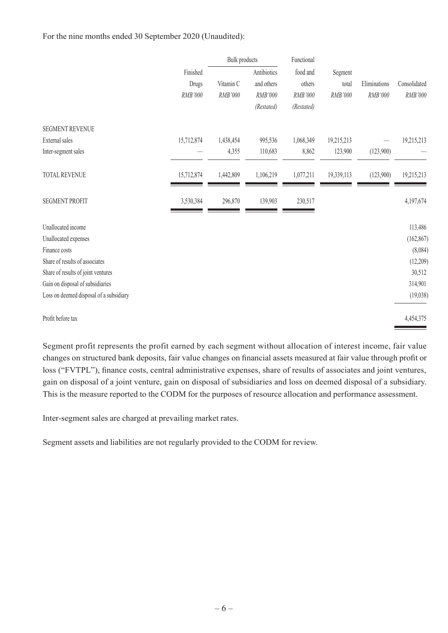For the nine months ended 30 September 2020 (Unaudited):

|                                         |                              | Bulk products        |                                                    | Functional                                  |                             |                         |                         |
|-----------------------------------------|------------------------------|----------------------|----------------------------------------------------|---------------------------------------------|-----------------------------|-------------------------|-------------------------|
|                                         | Finished<br>Drugs<br>RMB'000 | Vitamin C<br>RMB'000 | Antibiotics<br>and others<br>RMB'000<br>(Restated) | food and<br>others<br>RMB'000<br>(Restated) | Segment<br>total<br>RMB'000 | Eliminations<br>RMB'000 | Consolidated<br>RMB'000 |
| <b>SEGMENT REVENUE</b>                  |                              |                      |                                                    |                                             |                             |                         |                         |
| External sales                          | 15,712,874                   | 1,438,454            | 995,536                                            | 1,068,349                                   | 19,215,213                  |                         | 19,215,213              |
| Inter-segment sales                     |                              | 4,355                | 110,683                                            | 8,862                                       | 123,900                     | (123,900)               |                         |
| TOTAL REVENUE                           | 15,712,874                   | 1,442,809            | 1,106,219                                          | 1,077,211                                   | 19,339,113                  | (123,900)               | 19,215,213              |
| <b>SEGMENT PROFIT</b>                   | 3,530,384                    | 296,870              | 139,903                                            | 230,517                                     |                             |                         | 4,197,674               |
| Unallocated income                      |                              |                      |                                                    |                                             |                             |                         | 113,486                 |
| Unallocated expenses                    |                              |                      |                                                    |                                             |                             |                         | (162, 867)              |
| Finance costs                           |                              |                      |                                                    |                                             |                             |                         | (8,084)                 |
| Share of results of associates          |                              |                      |                                                    |                                             |                             |                         | (12,209)                |
| Share of results of joint ventures      |                              |                      |                                                    |                                             |                             |                         | 30,512                  |
| Gain on disposal of subsidiaries        |                              |                      |                                                    |                                             |                             |                         | 314,901                 |
| Loss on deemed disposal of a subsidiary |                              |                      |                                                    |                                             |                             |                         | (19,038)                |
| Profit before tax                       |                              |                      |                                                    |                                             |                             |                         | 4,454,375               |

Segment profit represents the profit earned by each segment without allocation of interest income, fair value changes on structured bank deposits, fair value changes on financial assets measured at fair value through profit or loss ("FVTPL"), finance costs, central administrative expenses, share of results of associates and joint ventures, gain on disposal of a joint venture, gain on disposal of subsidiaries and loss on deemed disposal of a subsidiary. This is the measure reported to the CODM for the purposes of resource allocation and performance assessment.

Inter-segment sales are charged at prevailing market rates.

Segment assets and liabilities are not regularly provided to the CODM for review.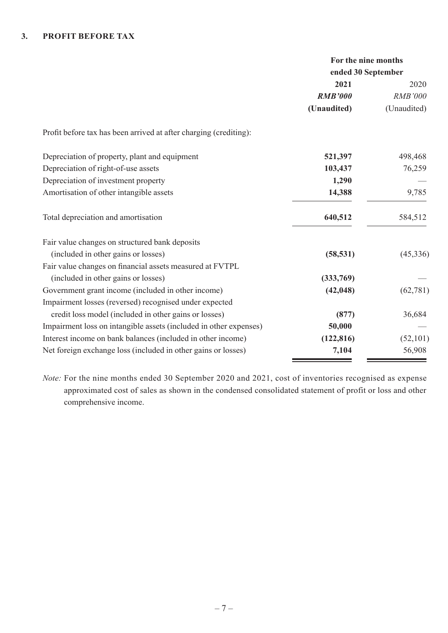#### **3. PROFIT BEFORE TAX**

|                                                                   | For the nine months<br>ended 30 September |                |  |
|-------------------------------------------------------------------|-------------------------------------------|----------------|--|
|                                                                   | 2021                                      | 2020           |  |
|                                                                   | <b>RMB'000</b>                            | <b>RMB'000</b> |  |
|                                                                   | (Unaudited)                               | (Unaudited)    |  |
| Profit before tax has been arrived at after charging (crediting): |                                           |                |  |
| Depreciation of property, plant and equipment                     | 521,397                                   | 498,468        |  |
| Depreciation of right-of-use assets                               | 103,437                                   | 76,259         |  |
| Depreciation of investment property                               | 1,290                                     |                |  |
| Amortisation of other intangible assets                           | 14,388                                    | 9,785          |  |
| Total depreciation and amortisation                               | 640,512                                   | 584,512        |  |
| Fair value changes on structured bank deposits                    |                                           |                |  |
| (included in other gains or losses)                               | (58, 531)                                 | (45,336)       |  |
| Fair value changes on financial assets measured at FVTPL          |                                           |                |  |
| (included in other gains or losses)                               | (333,769)                                 |                |  |
| Government grant income (included in other income)                | (42, 048)                                 | (62, 781)      |  |
| Impairment losses (reversed) recognised under expected            |                                           |                |  |
| credit loss model (included in other gains or losses)             | (877)                                     | 36,684         |  |
| Impairment loss on intangible assets (included in other expenses) | 50,000                                    |                |  |
| Interest income on bank balances (included in other income)       | (122, 816)                                | (52, 101)      |  |
| Net foreign exchange loss (included in other gains or losses)     | 7,104                                     | 56,908         |  |

*Note:* For the nine months ended 30 September 2020 and 2021, cost of inventories recognised as expense approximated cost of sales as shown in the condensed consolidated statement of profit or loss and other comprehensive income.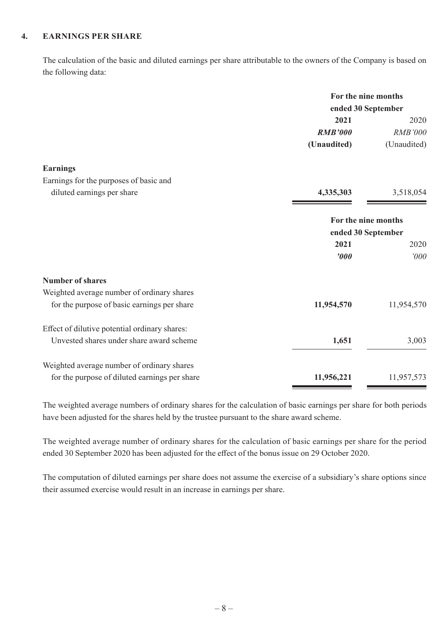#### **4. EARNINGS PER SHARE**

The calculation of the basic and diluted earnings per share attributable to the owners of the Company is based on the following data:

|                                               | For the nine months<br>ended 30 September |                |
|-----------------------------------------------|-------------------------------------------|----------------|
|                                               |                                           |                |
|                                               | 2021                                      | 2020           |
|                                               | <b>RMB'000</b>                            | <b>RMB'000</b> |
|                                               | (Unaudited)                               | (Unaudited)    |
| <b>Earnings</b>                               |                                           |                |
| Earnings for the purposes of basic and        |                                           |                |
| diluted earnings per share                    | 4,335,303                                 | 3,518,054      |
|                                               | For the nine months<br>ended 30 September |                |
|                                               | 2021                                      | 2020           |
|                                               | $\boldsymbol{v}$                          | '000           |
| <b>Number of shares</b>                       |                                           |                |
| Weighted average number of ordinary shares    |                                           |                |
| for the purpose of basic earnings per share   | 11,954,570                                | 11,954,570     |
| Effect of dilutive potential ordinary shares: |                                           |                |
| Unvested shares under share award scheme      | 1,651                                     | 3,003          |
| Weighted average number of ordinary shares    |                                           |                |
| for the purpose of diluted earnings per share | 11,956,221                                | 11,957,573     |

The weighted average numbers of ordinary shares for the calculation of basic earnings per share for both periods have been adjusted for the shares held by the trustee pursuant to the share award scheme.

The weighted average number of ordinary shares for the calculation of basic earnings per share for the period ended 30 September 2020 has been adjusted for the effect of the bonus issue on 29 October 2020.

The computation of diluted earnings per share does not assume the exercise of a subsidiary's share options since their assumed exercise would result in an increase in earnings per share.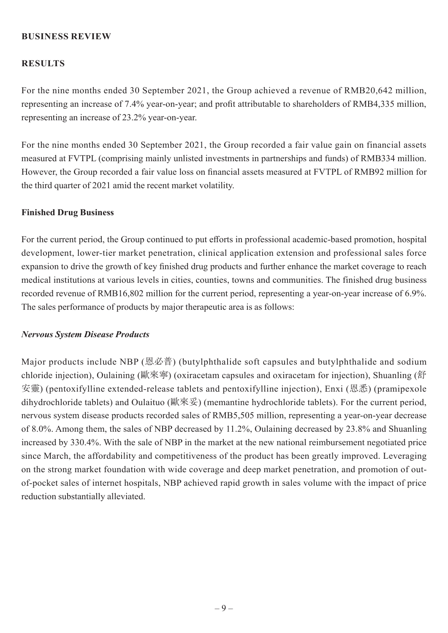# **BUSINESS REVIEW**

## **RESULTS**

For the nine months ended 30 September 2021, the Group achieved a revenue of RMB20,642 million, representing an increase of 7.4% year-on-year; and profit attributable to shareholders of RMB4,335 million, representing an increase of 23.2% year-on-year.

For the nine months ended 30 September 2021, the Group recorded a fair value gain on financial assets measured at FVTPL (comprising mainly unlisted investments in partnerships and funds) of RMB334 million. However, the Group recorded a fair value loss on financial assets measured at FVTPL of RMB92 million for the third quarter of 2021 amid the recent market volatility.

#### **Finished Drug Business**

For the current period, the Group continued to put efforts in professional academic-based promotion, hospital development, lower-tier market penetration, clinical application extension and professional sales force expansion to drive the growth of key finished drug products and further enhance the market coverage to reach medical institutions at various levels in cities, counties, towns and communities. The finished drug business recorded revenue of RMB16,802 million for the current period, representing a year-on-year increase of 6.9%. The sales performance of products by major therapeutic area is as follows:

#### *Nervous System Disease Products*

Major products include NBP (恩必普) (butylphthalide soft capsules and butylphthalide and sodium chloride injection), Oulaining (歐來寧) (oxiracetam capsules and oxiracetam for injection), Shuanling (舒 安靈) (pentoxifylline extended-release tablets and pentoxifylline injection), Enxi (恩悉) (pramipexole dihydrochloride tablets) and Oulaituo (歐來妥) (memantine hydrochloride tablets). For the current period, nervous system disease products recorded sales of RMB5,505 million, representing a year-on-year decrease of 8.0%. Among them, the sales of NBP decreased by 11.2%, Oulaining decreased by 23.8% and Shuanling increased by 330.4%. With the sale of NBP in the market at the new national reimbursement negotiated price since March, the affordability and competitiveness of the product has been greatly improved. Leveraging on the strong market foundation with wide coverage and deep market penetration, and promotion of outof-pocket sales of internet hospitals, NBP achieved rapid growth in sales volume with the impact of price reduction substantially alleviated.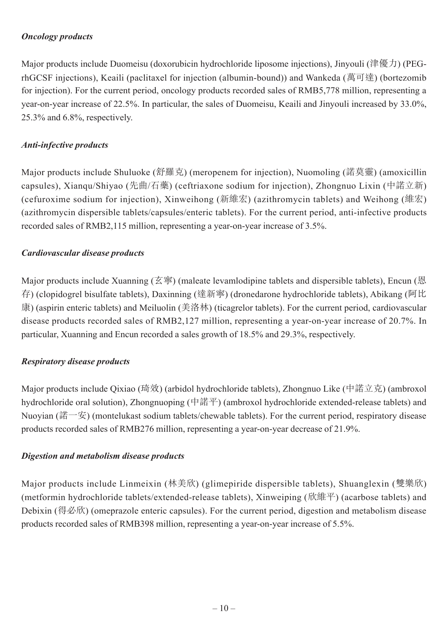# *Oncology products*

Major products include Duomeisu (doxorubicin hydrochloride liposome injections), Jinyouli (津優力) (PEGrhGCSF injections), Keaili (paclitaxel for injection (albumin-bound)) and Wankeda (萬可達) (bortezomib for injection). For the current period, oncology products recorded sales of RMB5,778 million, representing a year-on-year increase of 22.5%. In particular, the sales of Duomeisu, Keaili and Jinyouli increased by 33.0%, 25.3% and 6.8%, respectively.

# *Anti-infective products*

Major products include Shuluoke (舒羅克) (meropenem for injection), Nuomoling (諾莫靈) (amoxicillin capsules), Xianqu/Shiyao (先曲/石藥) (ceftriaxone sodium for injection), Zhongnuo Lixin (中諾立新) (cefuroxime sodium for injection), Xinweihong (新維宏) (azithromycin tablets) and Weihong (維宏) (azithromycin dispersible tablets/capsules/enteric tablets). For the current period, anti-infective products recorded sales of RMB2,115 million, representing a year-on-year increase of 3.5%.

## *Cardiovascular disease products*

Major products include Xuanning (玄寧) (maleate levamlodipine tablets and dispersible tablets), Encun (恩 存) (clopidogrel bisulfate tablets), Daxinning (達新寧) (dronedarone hydrochloride tablets), Abikang (阿比 康) (aspirin enteric tablets) and Meiluolin (美洛林) (ticagrelor tablets). For the current period, cardiovascular disease products recorded sales of RMB2,127 million, representing a year-on-year increase of 20.7%. In particular, Xuanning and Encun recorded a sales growth of 18.5% and 29.3%, respectively.

## *Respiratory disease products*

Major products include Qixiao (琦效) (arbidol hydrochloride tablets), Zhongnuo Like (中諾立克) (ambroxol hydrochloride oral solution), Zhongnuoping (中諾平) (ambroxol hydrochloride extended-release tablets) and Nuoyian (諾一安) (montelukast sodium tablets/chewable tablets). For the current period, respiratory disease products recorded sales of RMB276 million, representing a year-on-year decrease of 21.9%.

# *Digestion and metabolism disease products*

Major products include Linmeixin (林美欣) (glimepiride dispersible tablets), Shuanglexin (雙樂欣) (metformin hydrochloride tablets/extended-release tablets), Xinweiping (欣維平) (acarbose tablets) and Debixin (得必欣) (omeprazole enteric capsules). For the current period, digestion and metabolism disease products recorded sales of RMB398 million, representing a year-on-year increase of 5.5%.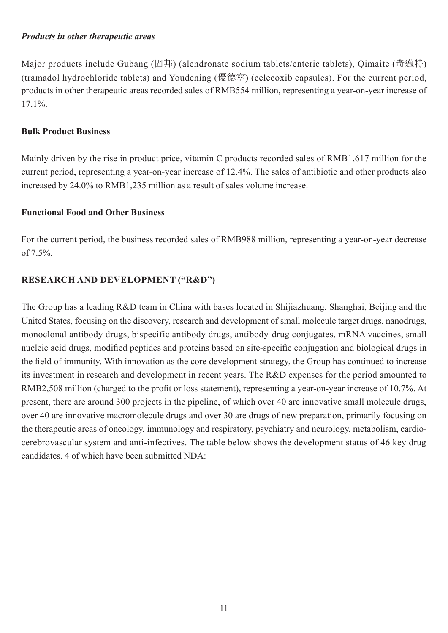## *Products in other therapeutic areas*

Major products include Gubang (固邦) (alendronate sodium tablets/enteric tablets), Qimaite (奇邁特) (tramadol hydrochloride tablets) and Youdening (優德寧) (celecoxib capsules). For the current period, products in other therapeutic areas recorded sales of RMB554 million, representing a year-on-year increase of 17.1%.

## **Bulk Product Business**

Mainly driven by the rise in product price, vitamin C products recorded sales of RMB1,617 million for the current period, representing a year-on-year increase of 12.4%. The sales of antibiotic and other products also increased by 24.0% to RMB1,235 million as a result of sales volume increase.

## **Functional Food and Other Business**

For the current period, the business recorded sales of RMB988 million, representing a year-on-year decrease of  $7.5%$ .

# **RESEARCH AND DEVELOPMENT ("R&D")**

The Group has a leading R&D team in China with bases located in Shijiazhuang, Shanghai, Beijing and the United States, focusing on the discovery, research and development of small molecule target drugs, nanodrugs, monoclonal antibody drugs, bispecific antibody drugs, antibody-drug conjugates, mRNA vaccines, small nucleic acid drugs, modified peptides and proteins based on site-specific conjugation and biological drugs in the field of immunity. With innovation as the core development strategy, the Group has continued to increase its investment in research and development in recent years. The R&D expenses for the period amounted to RMB2,508 million (charged to the profit or loss statement), representing a year-on-year increase of 10.7%. At present, there are around 300 projects in the pipeline, of which over 40 are innovative small molecule drugs, over 40 are innovative macromolecule drugs and over 30 are drugs of new preparation, primarily focusing on the therapeutic areas of oncology, immunology and respiratory, psychiatry and neurology, metabolism, cardiocerebrovascular system and anti-infectives. The table below shows the development status of 46 key drug candidates, 4 of which have been submitted NDA: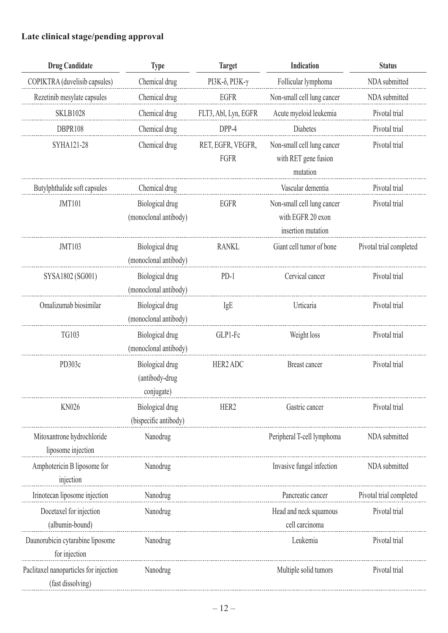# **Late clinical stage/pending approval**

| <b>Drug Candidate</b>                                       | <b>Type</b>                                     | <b>Target</b>                   | Indication                                                            | <b>Status</b>           |
|-------------------------------------------------------------|-------------------------------------------------|---------------------------------|-----------------------------------------------------------------------|-------------------------|
| COPIKTRA (duvelisib capsules)                               | Chemical drug                                   | PI3K- $\delta$ , PI3K- $\gamma$ | Follicular lymphoma                                                   | NDA submitted           |
| Rezetinib mesylate capsules                                 | Chemical drug                                   | <b>EGFR</b>                     | Non-small cell lung cancer                                            | NDA submitted           |
| <b>SKLB1028</b>                                             | Chemical drug                                   | FLT3, Abl, Lyn, EGFR            | Acute myeloid leukemia                                                | Pivotal trial           |
| DBPR108                                                     | Chemical drug                                   | DPP-4                           | Diabetes                                                              | Pivotal trial           |
| SYHA121-28                                                  | Chemical drug                                   | RET, EGFR, VEGFR,<br>FGFR       | Non-small cell lung cancer<br>with RET gene fusion<br>mutation        | Pivotal trial           |
| Butylphthalide soft capsules                                | Chemical drug                                   |                                 | Vascular dementia                                                     | Pivotal trial           |
| <b>JMT101</b>                                               | Biological drug<br>(monoclonal antibody)        | EGFR                            | Non-small cell lung cancer<br>with EGFR 20 exon<br>insertion mutation | Pivotal trial           |
| <b>JMT103</b>                                               | Biological drug<br>(monoclonal antibody)        | <b>RANKL</b>                    | Giant cell tumor of bone                                              | Pivotal trial completed |
| SYSA1802 (SG001)                                            | Biological drug<br>(monoclonal antibody)        | $PD-1$                          | Cervical cancer                                                       | Pivotal trial           |
| Omalizumab biosimilar                                       | Biological drug<br>(monoclonal antibody)        | IgE                             | Urticaria                                                             | Pivotal trial           |
| <b>TG103</b>                                                | Biological drug<br>(monoclonal antibody)        | GLP1-Fc                         | Weight loss                                                           | Pivotal trial           |
| PD303c                                                      | Biological drug<br>(antibody-drug<br>conjugate) | HER2 ADC                        | Breast cancer                                                         | Pivotal trial           |
| <b>KN026</b>                                                | Biological drug<br>(bispecific antibody)        | HER <sub>2</sub>                | Gastric cancer                                                        | Pivotal trial           |
| Mitoxantrone hydrochloride<br>liposome injection            | Nanodrug                                        |                                 | Peripheral T-cell lymphoma                                            | NDA submitted           |
| Amphotericin B liposome for<br>injection                    | Nanodrug                                        |                                 | Invasive fungal infection                                             | NDA submitted           |
| Irinotecan liposome injection                               | Nanodrug                                        |                                 | Pancreatic cancer                                                     | Pivotal trial completed |
| Docetaxel for injection<br>(albumin-bound)                  | Nanodrug                                        |                                 | Head and neck squamous<br>cell carcinoma                              | Pivotal trial           |
| Daunorubicin cytarabine liposome<br>for injection           | Nanodrug                                        |                                 | Leukemia                                                              | Pivotal trial           |
| Paclitaxel nanoparticles for injection<br>(fast dissolving) | Nanodrug                                        |                                 | Multiple solid tumors                                                 | Pivotal trial           |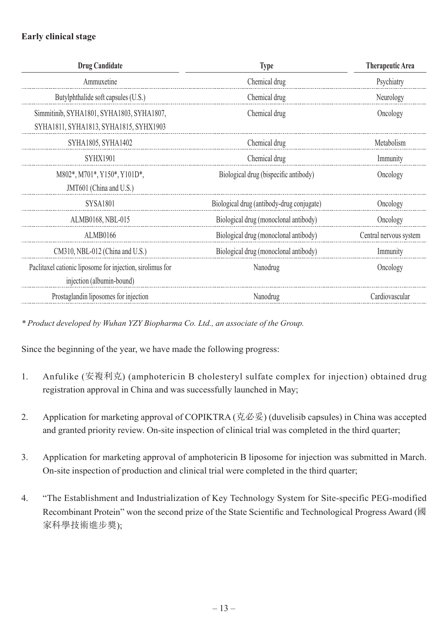# **Early clinical stage**

| <b>Drug Candidate</b>                                     | <b>Type</b>                               | <b>Therapeutic Area</b> |
|-----------------------------------------------------------|-------------------------------------------|-------------------------|
| Ammuxetine                                                | Chemical drug                             | Psychiatry              |
| Butylphthalide soft capsules (U.S.)                       | Chemical drug                             | Neurology               |
| Simmitinib, SYHA1801, SYHA1803, SYHA1807,                 | Chemical drug                             | Oncology                |
| SYHA1811, SYHA1813, SYHA1815, SYHX1903                    |                                           |                         |
| SYHA1805, SYHA1402                                        | Chemical drug                             | Metabolism              |
| <b>SYHX1901</b>                                           | Chemical drug                             | Immunity                |
| M802*, M701*, Y150*, Y101D*,                              | Biological drug (bispecific antibody)     | Oncology                |
| JMT601 (China and U.S.)                                   |                                           |                         |
| <b>SYSA1801</b>                                           | Biological drug (antibody-drug conjugate) | Oncology                |
| ALMB0168, NBL-015                                         | Biological drug (monoclonal antibody)     | Oncology                |
| <b>ALMB0166</b>                                           | Biological drug (monoclonal antibody)     | Central nervous system  |
| CM310, NBL-012 (China and U.S.)                           | Biological drug (monoclonal antibody)     | Immunity                |
| Paclitaxel cationic liposome for injection, sirolimus for | Nanodrug                                  | Oncology                |
| injection (albumin-bound)                                 |                                           |                         |
| Prostaglandin liposomes for injection                     | Nanodrug                                  | Cardiovascular          |

*\* Product developed by Wuhan YZY Biopharma Co. Ltd., an associate of the Group.*

Since the beginning of the year, we have made the following progress:

- 1. Anfulike (安複利克) (amphotericin B cholesteryl sulfate complex for injection) obtained drug registration approval in China and was successfully launched in May;
- 2. Application for marketing approval of COPIKTRA (克必妥) (duvelisib capsules) in China was accepted and granted priority review. On-site inspection of clinical trial was completed in the third quarter;
- 3. Application for marketing approval of amphotericin B liposome for injection was submitted in March. On-site inspection of production and clinical trial were completed in the third quarter;
- 4. "The Establishment and Industrialization of Key Technology System for Site-specific PEG-modified Recombinant Protein" won the second prize of the State Scientific and Technological Progress Award (國 家科學技術進步獎);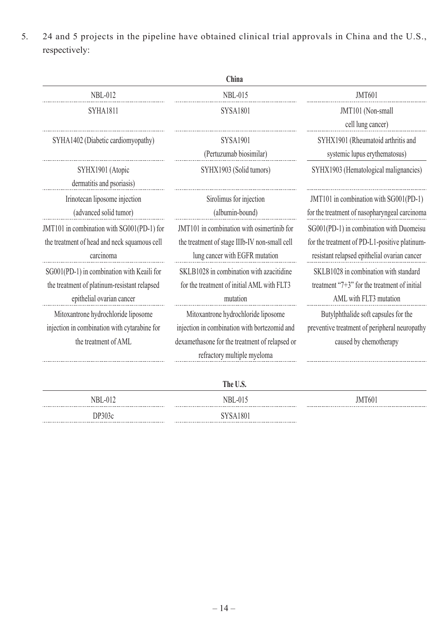5. 24 and 5 projects in the pipeline have obtained clinical trial approvals in China and the U.S., respectively:

|                                                                                                                         | China                                                                                                                                                                |                                                                                                                                           |
|-------------------------------------------------------------------------------------------------------------------------|----------------------------------------------------------------------------------------------------------------------------------------------------------------------|-------------------------------------------------------------------------------------------------------------------------------------------|
| <b>NBL-012</b>                                                                                                          | <b>NBL-015</b>                                                                                                                                                       | <b>JMT601</b>                                                                                                                             |
| <b>SYHA1811</b>                                                                                                         | <b>SYSA1801</b>                                                                                                                                                      | JMT101 (Non-small<br>cell lung cancer)                                                                                                    |
| SYHA1402 (Diabetic cardiomyopathy)                                                                                      | <b>SYSA1901</b><br>(Pertuzumab biosimilar)                                                                                                                           | SYHX1901 (Rheumatoid arthritis and<br>systemic lupus erythematosus)                                                                       |
| SYHX1901 (Atopic<br>dermatitis and psoriasis)                                                                           | SYHX1903 (Solid tumors)                                                                                                                                              | SYHX1903 (Hematological malignancies)                                                                                                     |
| Irinotecan liposome injection<br>(advanced solid tumor)                                                                 | Sirolimus for injection<br>(albumin-bound)                                                                                                                           | JMT101 in combination with SG001(PD-1)<br>for the treatment of nasopharyngeal carcinoma                                                   |
| JMT101 in combination with SG001(PD-1) for<br>the treatment of head and neck squamous cell<br>carcinoma                 | JMT101 in combination with osimertinib for<br>the treatment of stage IIIb-IV non-small cell<br>lung cancer with EGFR mutation                                        | SG001(PD-1) in combination with Duomeisu<br>for the treatment of PD-L1-positive platinum-<br>resistant relapsed epithelial ovarian cancer |
| SG001(PD-1) in combination with Keaili for<br>the treatment of platinum-resistant relapsed<br>epithelial ovarian cancer | SKLB1028 in combination with azacitidine<br>for the treatment of initial AML with FLT3<br>mutation                                                                   | SKLB1028 in combination with standard<br>treatment " $7+3$ " for the treatment of initial<br>AML with FLT3 mutation                       |
| Mitoxantrone hydrochloride liposome<br>injection in combination with cytarabine for<br>the treatment of AML             | Mitoxantrone hydrochloride liposome<br>injection in combination with bortezomid and<br>dexamethasone for the treatment of relapsed or<br>refractory multiple myeloma | Butylphthalide soft capsules for the<br>preventive treatment of peripheral neuropathy<br>caused by chemotherapy                           |

|                | The U.S.               |        |
|----------------|------------------------|--------|
| <b>NBL-012</b> | $NBL-015$<br>$- - - -$ | JMT601 |
| DP303c         | <b>SYSA1801</b>        |        |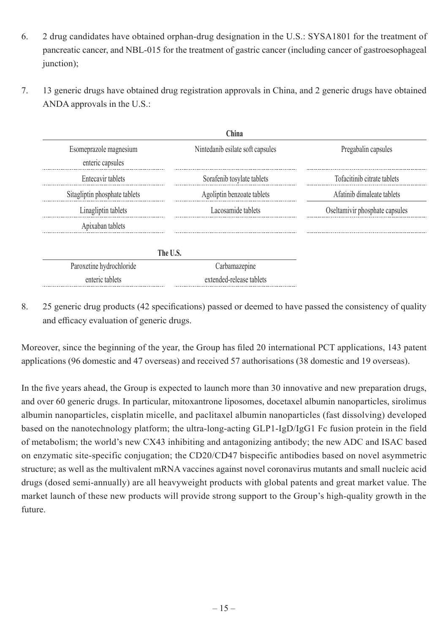- 6. 2 drug candidates have obtained orphan-drug designation in the U.S.: SYSA1801 for the treatment of pancreatic cancer, and NBL-015 for the treatment of gastric cancer (including cancer of gastroesophageal junction);
- 7. 13 generic drugs have obtained drug registration approvals in China, and 2 generic drugs have obtained ANDA approvals in the U.S.:

|                                            | China                            |                                |
|--------------------------------------------|----------------------------------|--------------------------------|
| Esomeprazole magnesium<br>enteric capsules | Nintedanib esilate soft capsules | Pregabalin capsules            |
| Entecavir tablets                          | Sorafenib tosylate tablets       | Tofacitinib citrate tablets    |
| Sitagliptin phosphate tablets              | Agoliptin benzoate tablets       | Afatinib dimaleate tablets     |
| Linagliptin tablets                        | Lacosamide tablets               | Oseltamivir phosphate capsules |
| Apixaban tablets                           |                                  |                                |
|                                            | The U.S.                         |                                |
| Paroxetine hydrochloride                   | Carbamazepine                    |                                |
| enteric tablets                            | extended-release tablets         |                                |

8. 25 generic drug products (42 specifications) passed or deemed to have passed the consistency of quality and efficacy evaluation of generic drugs.

Moreover, since the beginning of the year, the Group has filed 20 international PCT applications, 143 patent applications (96 domestic and 47 overseas) and received 57 authorisations (38 domestic and 19 overseas).

In the five years ahead, the Group is expected to launch more than 30 innovative and new preparation drugs, and over 60 generic drugs. In particular, mitoxantrone liposomes, docetaxel albumin nanoparticles, sirolimus albumin nanoparticles, cisplatin micelle, and paclitaxel albumin nanoparticles (fast dissolving) developed based on the nanotechnology platform; the ultra-long-acting GLP1-IgD/IgG1 Fc fusion protein in the field of metabolism; the world's new CX43 inhibiting and antagonizing antibody; the new ADC and ISAC based on enzymatic site-specific conjugation; the CD20/CD47 bispecific antibodies based on novel asymmetric structure; as well as the multivalent mRNA vaccines against novel coronavirus mutants and small nucleic acid drugs (dosed semi-annually) are all heavyweight products with global patents and great market value. The market launch of these new products will provide strong support to the Group's high-quality growth in the future.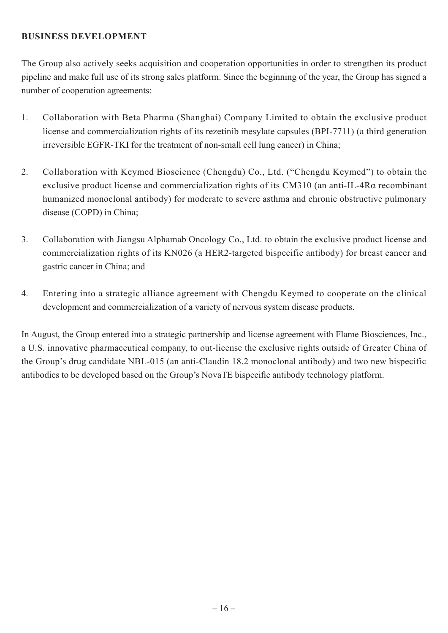# **BUSINESS DEVELOPMENT**

The Group also actively seeks acquisition and cooperation opportunities in order to strengthen its product pipeline and make full use of its strong sales platform. Since the beginning of the year, the Group has signed a number of cooperation agreements:

- 1. Collaboration with Beta Pharma (Shanghai) Company Limited to obtain the exclusive product license and commercialization rights of its rezetinib mesylate capsules (BPI-7711) (a third generation irreversible EGFR-TKI for the treatment of non-small cell lung cancer) in China;
- 2. Collaboration with Keymed Bioscience (Chengdu) Co., Ltd. ("Chengdu Keymed") to obtain the exclusive product license and commercialization rights of its CM310 (an anti-IL-4Rα recombinant humanized monoclonal antibody) for moderate to severe asthma and chronic obstructive pulmonary disease (COPD) in China;
- 3. Collaboration with Jiangsu Alphamab Oncology Co., Ltd. to obtain the exclusive product license and commercialization rights of its KN026 (a HER2-targeted bispecific antibody) for breast cancer and gastric cancer in China; and
- 4. Entering into a strategic alliance agreement with Chengdu Keymed to cooperate on the clinical development and commercialization of a variety of nervous system disease products.

In August, the Group entered into a strategic partnership and license agreement with Flame Biosciences, Inc., a U.S. innovative pharmaceutical company, to out-license the exclusive rights outside of Greater China of the Group's drug candidate NBL-015 (an anti-Claudin 18.2 monoclonal antibody) and two new bispecific antibodies to be developed based on the Group's NovaTE bispecific antibody technology platform.